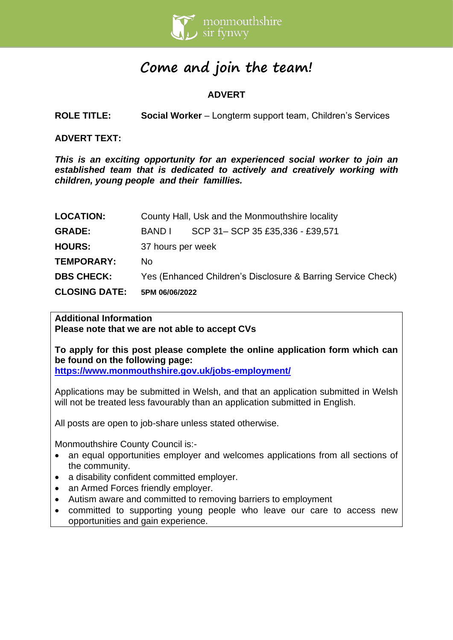

# **Come and join the team!**

# **ADVERT**

**ROLE TITLE: Social Worker** – Longterm support team, Children's Services

**ADVERT TEXT:** 

*This is an exciting opportunity for an experienced social worker to join an established team that is dedicated to actively and creatively working with children, young people and their famillies.*

| <b>CLOSING DATE:</b> | 5PM 06/06/2022                                               |                                 |  |
|----------------------|--------------------------------------------------------------|---------------------------------|--|
| <b>DBS CHECK:</b>    | Yes (Enhanced Children's Disclosure & Barring Service Check) |                                 |  |
| <b>TEMPORARY:</b>    | No.                                                          |                                 |  |
| <b>HOURS:</b>        | 37 hours per week                                            |                                 |  |
| <b>GRADE:</b>        | BAND L                                                       | SCP 31-SCP 35 £35,336 - £39,571 |  |
| <b>LOCATION:</b>     | County Hall, Usk and the Monmouthshire locality              |                                 |  |

### **Additional Information**

**Please note that we are not able to accept CVs**

**To apply for this post please complete the online application form which can be found on the following page:**

**<https://www.monmouthshire.gov.uk/jobs-employment/>**

Applications may be submitted in Welsh, and that an application submitted in Welsh will not be treated less favourably than an application submitted in English.

All posts are open to job-share unless stated otherwise.

Monmouthshire County Council is:-

- an equal opportunities employer and welcomes applications from all sections of the community.
- a disability confident committed employer.
- an Armed Forces friendly employer.
- Autism aware and committed to removing barriers to employment
- committed to supporting young people who leave our care to access new opportunities and gain experience.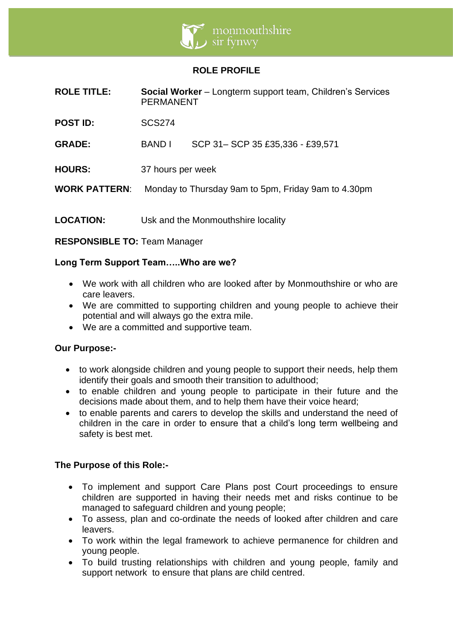

## **ROLE PROFILE**

| <b>ROLE TITLE:</b>   | <b>Social Worker</b> – Longterm support team, Children's Services<br><b>PERMANENT</b> |                                    |
|----------------------|---------------------------------------------------------------------------------------|------------------------------------|
| <b>POST ID:</b>      | <b>SCS274</b>                                                                         |                                    |
| <b>GRADE:</b>        | <b>BAND I</b>                                                                         | SCP 31-SCP 35 £35,336 - £39,571    |
| <b>HOURS:</b>        | 37 hours per week                                                                     |                                    |
| <b>WORK PATTERN:</b> | Monday to Thursday 9am to 5pm, Friday 9am to 4.30pm                                   |                                    |
| <b>LOCATION:</b>     |                                                                                       | Usk and the Monmouthshire locality |

**RESPONSIBLE TO:** Team Manager

## **Long Term Support Team…..Who are we?**

- We work with all children who are looked after by Monmouthshire or who are care leavers.
- We are committed to supporting children and young people to achieve their potential and will always go the extra mile.
- We are a committed and supportive team.

## **Our Purpose:-**

- to work alongside children and young people to support their needs, help them identify their goals and smooth their transition to adulthood;
- to enable children and young people to participate in their future and the decisions made about them, and to help them have their voice heard;
- to enable parents and carers to develop the skills and understand the need of children in the care in order to ensure that a child's long term wellbeing and safety is best met.

## **The Purpose of this Role:-**

- To implement and support Care Plans post Court proceedings to ensure children are supported in having their needs met and risks continue to be managed to safeguard children and young people;
- To assess, plan and co-ordinate the needs of looked after children and care leavers.
- To work within the legal framework to achieve permanence for children and young people.
- To build trusting relationships with children and young people, family and support network to ensure that plans are child centred.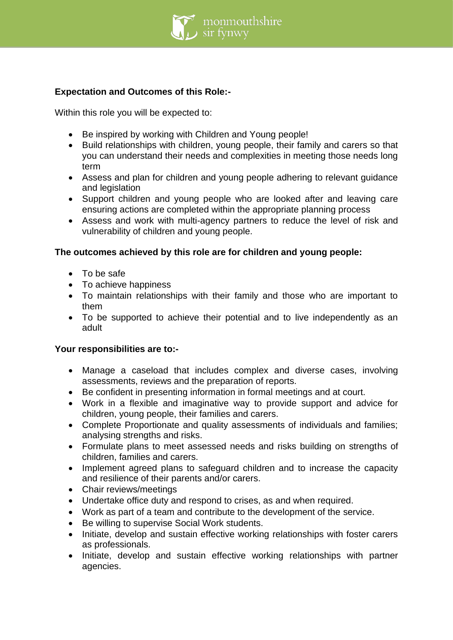

## **Expectation and Outcomes of this Role:-**

Within this role you will be expected to:

- Be inspired by working with Children and Young people!
- Build relationships with children, young people, their family and carers so that you can understand their needs and complexities in meeting those needs long term
- Assess and plan for children and young people adhering to relevant guidance and legislation
- Support children and young people who are looked after and leaving care ensuring actions are completed within the appropriate planning process
- Assess and work with multi-agency partners to reduce the level of risk and vulnerability of children and young people.

## **The outcomes achieved by this role are for children and young people:**

- To be safe
- To achieve happiness
- To maintain relationships with their family and those who are important to them
- To be supported to achieve their potential and to live independently as an adult

## **Your responsibilities are to:-**

- Manage a caseload that includes complex and diverse cases, involving assessments, reviews and the preparation of reports.
- Be confident in presenting information in formal meetings and at court.
- Work in a flexible and imaginative way to provide support and advice for children, young people, their families and carers.
- Complete Proportionate and quality assessments of individuals and families; analysing strengths and risks.
- Formulate plans to meet assessed needs and risks building on strengths of children, families and carers.
- Implement agreed plans to safeguard children and to increase the capacity and resilience of their parents and/or carers.
- Chair reviews/meetings
- Undertake office duty and respond to crises, as and when required.
- Work as part of a team and contribute to the development of the service.
- Be willing to supervise Social Work students.
- Initiate, develop and sustain effective working relationships with foster carers as professionals.
- Initiate, develop and sustain effective working relationships with partner agencies.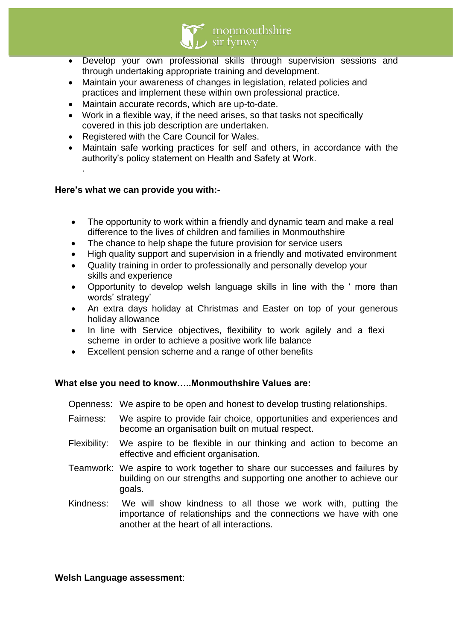

- Develop your own professional skills through supervision sessions and through undertaking appropriate training and development.
- Maintain your awareness of changes in legislation, related policies and practices and implement these within own professional practice.
- Maintain accurate records, which are up-to-date.
- Work in a flexible way, if the need arises, so that tasks not specifically covered in this job description are undertaken.
- Registered with the Care Council for Wales.
- Maintain safe working practices for self and others, in accordance with the authority's policy statement on Health and Safety at Work.

## **Here's what we can provide you with:-**

.

- The opportunity to work within a friendly and dynamic team and make a real difference to the lives of children and families in Monmouthshire
- The chance to help shape the future provision for service users
- High quality support and supervision in a friendly and motivated environment
- Quality training in order to professionally and personally develop your skills and experience
- Opportunity to develop welsh language skills in line with the ' more than words' strategy'
- An extra days holiday at Christmas and Easter on top of your generous holiday allowance
- In line with Service objectives, flexibility to work agilely and a flexi scheme in order to achieve a positive work life balance
- Excellent pension scheme and a range of other benefits

## **What else you need to know…..Monmouthshire Values are:**

Openness: We aspire to be open and honest to develop trusting relationships.

- Fairness: We aspire to provide fair choice, opportunities and experiences and become an organisation built on mutual respect.
- Flexibility: We aspire to be flexible in our thinking and action to become an effective and efficient organisation.
- Teamwork: We aspire to work together to share our successes and failures by building on our strengths and supporting one another to achieve our goals.
- Kindness: We will show kindness to all those we work with, putting the importance of relationships and the connections we have with one another at the heart of all interactions.

#### **Welsh Language assessment**: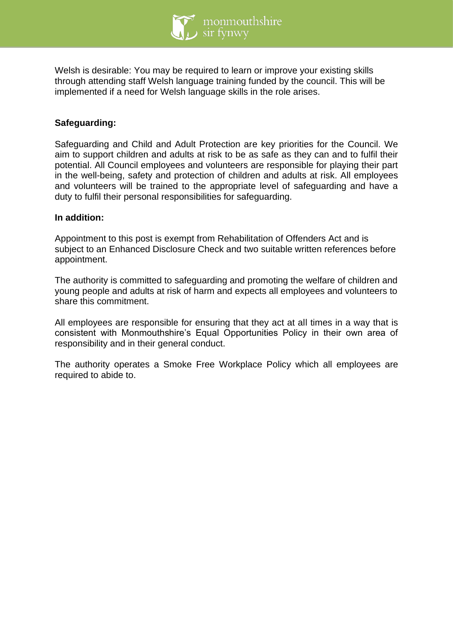

Welsh is desirable: You may be required to learn or improve your existing skills through attending staff Welsh language training funded by the council. This will be implemented if a need for Welsh language skills in the role arises.

## **Safeguarding:**

Safeguarding and Child and Adult Protection are key priorities for the Council. We aim to support children and adults at risk to be as safe as they can and to fulfil their potential. All Council employees and volunteers are responsible for playing their part in the well-being, safety and protection of children and adults at risk. All employees and volunteers will be trained to the appropriate level of safeguarding and have a duty to fulfil their personal responsibilities for safeguarding.

#### **In addition:**

Appointment to this post is exempt from Rehabilitation of Offenders Act and is subject to an Enhanced Disclosure Check and two suitable written references before appointment.

The authority is committed to safeguarding and promoting the welfare of children and young people and adults at risk of harm and expects all employees and volunteers to share this commitment.

All employees are responsible for ensuring that they act at all times in a way that is consistent with Monmouthshire's Equal Opportunities Policy in their own area of responsibility and in their general conduct.

The authority operates a Smoke Free Workplace Policy which all employees are required to abide to.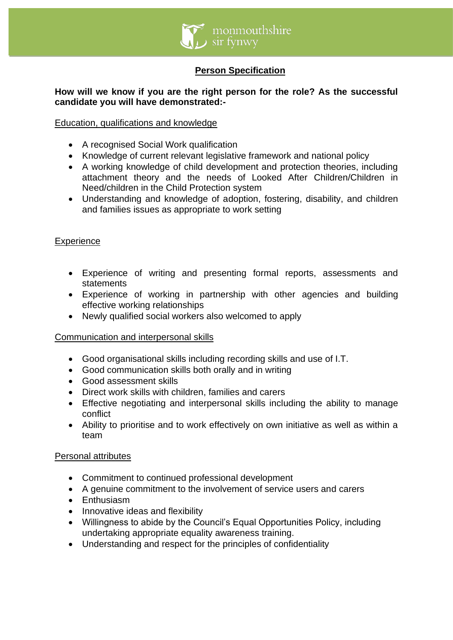

# **Person Specification**

## **How will we know if you are the right person for the role? As the successful candidate you will have demonstrated:-**

## Education, qualifications and knowledge

- A recognised Social Work qualification
- Knowledge of current relevant legislative framework and national policy
- A working knowledge of child development and protection theories, including attachment theory and the needs of Looked After Children/Children in Need/children in the Child Protection system
- Understanding and knowledge of adoption, fostering, disability, and children and families issues as appropriate to work setting

## **Experience**

- Experience of writing and presenting formal reports, assessments and statements
- Experience of working in partnership with other agencies and building effective working relationships
- Newly qualified social workers also welcomed to apply

## Communication and interpersonal skills

- Good organisational skills including recording skills and use of I.T.
- Good communication skills both orally and in writing
- Good assessment skills
- Direct work skills with children, families and carers
- Effective negotiating and interpersonal skills including the ability to manage conflict
- Ability to prioritise and to work effectively on own initiative as well as within a team

## Personal attributes

- Commitment to continued professional development
- A genuine commitment to the involvement of service users and carers
- Enthusiasm
- Innovative ideas and flexibility
- Willingness to abide by the Council's Equal Opportunities Policy, including undertaking appropriate equality awareness training.
- Understanding and respect for the principles of confidentiality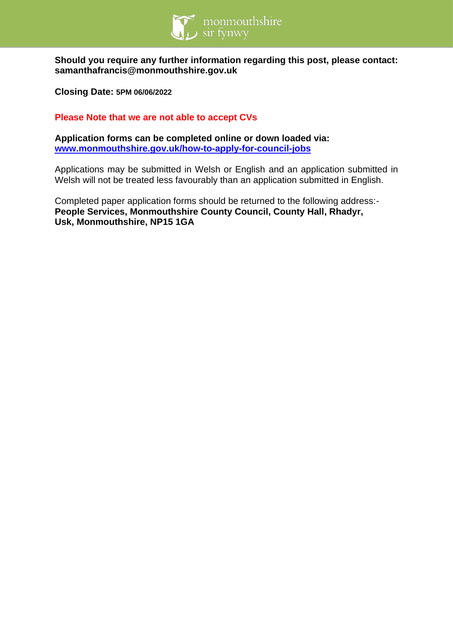

**Should you require any further information regarding this post, please contact: samanthafrancis@monmouthshire.gov.uk**

**Closing Date: 5PM 06/06/2022**

**Please Note that we are not able to accept CVs**

**Application forms can be completed online or down loaded via: [www.monmouthshire.gov.uk/how-to-apply-for-council-jobs](http://www.monmouthshire.gov.uk/how-to-apply-for-council-jobs)**

Applications may be submitted in Welsh or English and an application submitted in Welsh will not be treated less favourably than an application submitted in English.

Completed paper application forms should be returned to the following address:- **People Services, Monmouthshire County Council, County Hall, Rhadyr, Usk, Monmouthshire, NP15 1GA**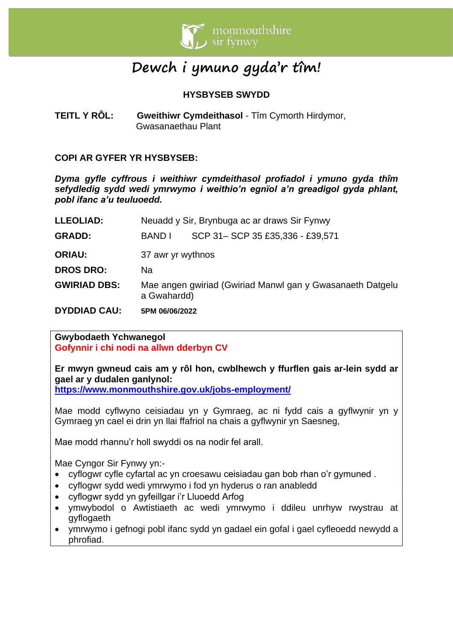

# **Dewch i ymuno gyda'r tîm!**

# **HYSBYSEB SWYDD**

**TEITL Y RÔL:** Gweithiwr Cymdeithasol - Tîm Cymorth Hirdymor, Gwasanaethau Plant

## **COPI AR GYFER YR HYSBYSEB:**

*Dyma gyfle cyffrous i weithiwr cymdeithasol profiadol i ymuno gyda thîm sefydledig sydd wedi ymrwymo i weithio'n egnïol a'n greadigol gyda phlant, pobl ifanc a'u teuluoedd.*

| <b>DYDDIAD CAU:</b> | 5PM 06/06/2022                                                           |                                 |  |
|---------------------|--------------------------------------------------------------------------|---------------------------------|--|
| <b>GWIRIAD DBS:</b> | Mae angen gwiriad (Gwiriad Manwl gan y Gwasanaeth Datgelu<br>a Gwahardd) |                                 |  |
| <b>DROS DRO:</b>    | Nа                                                                       |                                 |  |
| <b>ORIAU:</b>       | 37 awr yr wythnos                                                        |                                 |  |
| <b>GRADD:</b>       | BAND I                                                                   | SCP 31-SCP 35 £35,336 - £39,571 |  |
| <b>LLEOLIAD:</b>    | Neuadd y Sir, Brynbuga ac ar draws Sir Fynwy                             |                                 |  |

#### **Gwybodaeth Ychwanegol Gofynnir i chi nodi na allwn dderbyn CV**

**Er mwyn gwneud cais am y rôl hon, cwblhewch y ffurflen gais ar-lein sydd ar gael ar y dudalen ganlynol:**

**<https://www.monmouthshire.gov.uk/jobs-employment/>**

Mae modd cyflwyno ceisiadau yn y Gymraeg, ac ni fydd cais a gyflwynir yn y Gymraeg yn cael ei drin yn llai ffafriol na chais a gyflwynir yn Saesneg,

Mae modd rhannu'r holl swyddi os na nodir fel arall.

Mae Cyngor Sir Fynwy yn:-

- cyflogwr cyfle cyfartal ac yn croesawu ceisiadau gan bob rhan o'r gymuned .
- cyflogwr sydd wedi ymrwymo i fod yn hyderus o ran anabledd
- cyflogwr sydd yn gyfeillgar i'r Lluoedd Arfog
- ymwybodol o Awtistiaeth ac wedi ymrwymo i ddileu unrhyw rwystrau at gyflogaeth
- ymrwymo i gefnogi pobl ifanc sydd yn gadael ein gofal i gael cyfleoedd newydd a phrofiad.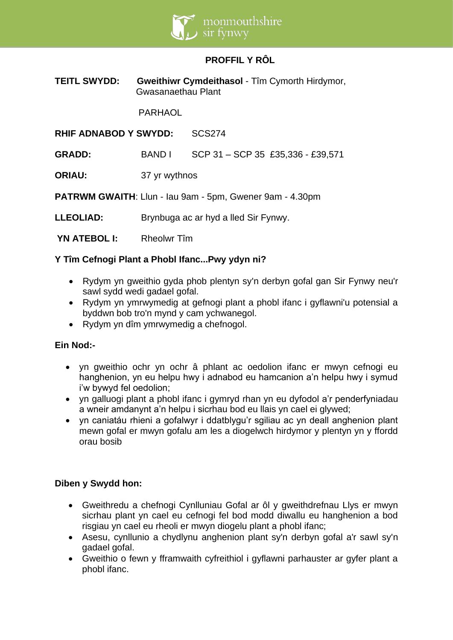

# **PROFFIL Y RÔL**

**TEITL SWYDD:** Gweithiwr Cymdeithasol - Tîm Cymorth Hirdymor, Gwasanaethau Plant

PARHAOL

**RHIF ADNABOD Y SWYDD:** SCS274

**GRADD:** BAND I SCP 31 – SCP 35 £35,336 - £39,571

**ORIAU:** 37 yr wythnos

**PATRWM GWAITH**: Llun - Iau 9am - 5pm, Gwener 9am - 4.30pm

**LLEOLIAD:** Brynbuga ac ar hyd a lled Sir Fynwy.

 **YN ATEBOL I:** Rheolwr Tîm

#### **Y Tîm Cefnogi Plant a Phobl Ifanc...Pwy ydyn ni?**

- Rydym yn gweithio gyda phob plentyn sy'n derbyn gofal gan Sir Fynwy neu'r sawl sydd wedi gadael gofal.
- Rydym yn ymrwymedig at gefnogi plant a phobl ifanc i gyflawni'u potensial a byddwn bob tro'n mynd y cam ychwanegol.
- Rydym yn dîm ymrwymedig a chefnogol.

## **Ein Nod:-**

- yn gweithio ochr yn ochr â phlant ac oedolion ifanc er mwyn cefnogi eu hanghenion, yn eu helpu hwy i adnabod eu hamcanion a'n helpu hwy i symud i'w bywyd fel oedolion;
- yn galluogi plant a phobl ifanc i gymryd rhan yn eu dyfodol a'r penderfyniadau a wneir amdanynt a'n helpu i sicrhau bod eu llais yn cael ei glywed;
- yn caniatáu rhieni a gofalwyr i ddatblygu'r sgiliau ac yn deall anghenion plant mewn gofal er mwyn gofalu am les a diogelwch hirdymor y plentyn yn y ffordd orau bosib

#### **Diben y Swydd hon:**

- Gweithredu a chefnogi Cynlluniau Gofal ar ôl y gweithdrefnau Llys er mwyn sicrhau plant yn cael eu cefnogi fel bod modd diwallu eu hanghenion a bod risgiau yn cael eu rheoli er mwyn diogelu plant a phobl ifanc;
- Asesu, cynllunio a chydlynu anghenion plant sy'n derbyn gofal a'r sawl sy'n gadael gofal.
- Gweithio o fewn y fframwaith cyfreithiol i gyflawni parhauster ar gyfer plant a phobl ifanc.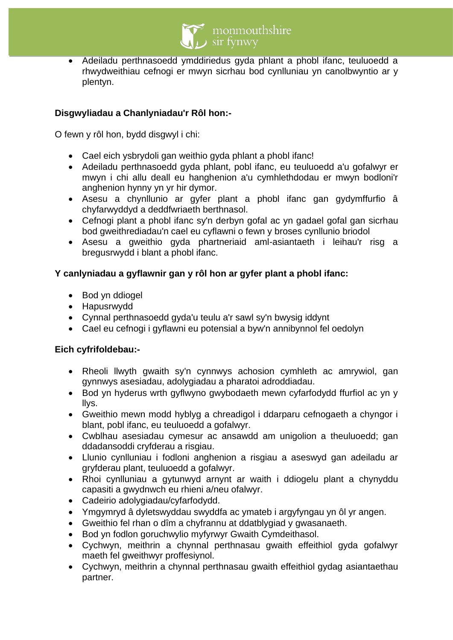

• Adeiladu perthnasoedd ymddiriedus gyda phlant a phobl ifanc, teuluoedd a rhwydweithiau cefnogi er mwyn sicrhau bod cynlluniau yn canolbwyntio ar y plentyn.

# **Disgwyliadau a Chanlyniadau'r Rôl hon:-**

O fewn y rôl hon, bydd disgwyl i chi:

- Cael eich ysbrydoli gan weithio gyda phlant a phobl ifanc!
- Adeiladu perthnasoedd gyda phlant, pobl ifanc, eu teuluoedd a'u gofalwyr er mwyn i chi allu deall eu hanghenion a'u cymhlethdodau er mwyn bodloni'r anghenion hynny yn yr hir dymor.
- Asesu a chynllunio ar gyfer plant a phobl ifanc gan gydymffurfio â chyfarwyddyd a deddfwriaeth berthnasol.
- Cefnogi plant a phobl ifanc sy'n derbyn gofal ac yn gadael gofal gan sicrhau bod gweithrediadau'n cael eu cyflawni o fewn y broses cynllunio briodol
- Asesu a gweithio gyda phartneriaid aml-asiantaeth i leihau'r risg a bregusrwydd i blant a phobl ifanc.

## **Y canlyniadau a gyflawnir gan y rôl hon ar gyfer plant a phobl ifanc:**

- Bod yn ddiogel
- Hapusrwydd
- Cynnal perthnasoedd gyda'u teulu a'r sawl sy'n bwysig iddynt
- Cael eu cefnogi i gyflawni eu potensial a byw'n annibynnol fel oedolyn

## **Eich cyfrifoldebau:-**

- Rheoli llwyth gwaith sy'n cynnwys achosion cymhleth ac amrywiol, gan gynnwys asesiadau, adolygiadau a pharatoi adroddiadau.
- Bod yn hyderus wrth gyflwyno gwybodaeth mewn cyfarfodydd ffurfiol ac yn y llys.
- Gweithio mewn modd hyblyg a chreadigol i ddarparu cefnogaeth a chyngor i blant, pobl ifanc, eu teuluoedd a gofalwyr.
- Cwblhau asesiadau cymesur ac ansawdd am unigolion a theuluoedd; gan ddadansoddi cryfderau a risgiau.
- Llunio cynlluniau i fodloni anghenion a risgiau a aseswyd gan adeiladu ar gryfderau plant, teuluoedd a gofalwyr.
- Rhoi cynlluniau a gytunwyd arnynt ar waith i ddiogelu plant a chynyddu capasiti a gwydnwch eu rhieni a/neu ofalwyr.
- Cadeirio adolygiadau/cyfarfodydd.
- Ymgymryd â dyletswyddau swyddfa ac ymateb i argyfyngau yn ôl yr angen.
- Gweithio fel rhan o dîm a chyfrannu at ddatblygiad y gwasanaeth.
- Bod yn fodlon goruchwylio myfyrwyr Gwaith Cymdeithasol.
- Cychwyn, meithrin a chynnal perthnasau gwaith effeithiol gyda gofalwyr maeth fel gweithwyr proffesiynol.
- Cychwyn, meithrin a chynnal perthnasau gwaith effeithiol gydag asiantaethau partner.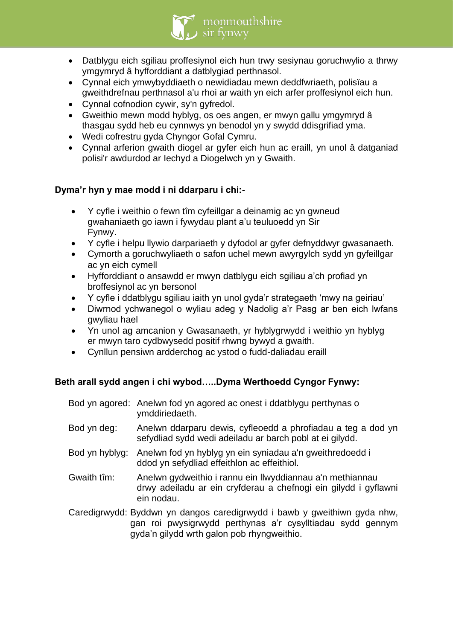• Datblygu eich sgiliau proffesiynol eich hun trwy sesiynau goruchwylio a thrwy ymgymryd â hyfforddiant a datblygiad perthnasol.

sir fynwy

monmouthshire

- Cynnal eich ymwybyddiaeth o newidiadau mewn deddfwriaeth, polisïau a gweithdrefnau perthnasol a'u rhoi ar waith yn eich arfer proffesiynol eich hun.
- Cynnal cofnodion cywir, sy'n gyfredol.
- Gweithio mewn modd hyblyg, os oes angen, er mwyn gallu ymgymryd â thasgau sydd heb eu cynnwys yn benodol yn y swydd ddisgrifiad yma.
- Wedi cofrestru gyda Chyngor Gofal Cymru.
- Cynnal arferion gwaith diogel ar gyfer eich hun ac eraill, yn unol â datganiad polisi'r awdurdod ar Iechyd a Diogelwch yn y Gwaith.

# **Dyma'r hyn y mae modd i ni ddarparu i chi:-**

- Y cyfle i weithio o fewn tîm cyfeillgar a deinamig ac yn gwneud gwahaniaeth go iawn i fywydau plant a'u teuluoedd yn Sir Fynwy.
- Y cyfle i helpu llywio darpariaeth y dyfodol ar gyfer defnyddwyr gwasanaeth.
- Cymorth a goruchwyliaeth o safon uchel mewn awyrgylch sydd yn gyfeillgar ac yn eich cymell
- Hyfforddiant o ansawdd er mwyn datblygu eich sgiliau a'ch profiad yn broffesiynol ac yn bersonol
- Y cyfle i ddatblygu sgiliau iaith yn unol gyda'r strategaeth 'mwy na geiriau'
- Diwrnod ychwanegol o wyliau adeg y Nadolig a'r Pasg ar ben eich lwfans gwyliau hael
- Yn unol ag amcanion y Gwasanaeth, yr hyblygrwydd i weithio yn hyblyg er mwyn taro cydbwysedd positif rhwng bywyd a gwaith.
- Cynllun pensiwn ardderchog ac ystod o fudd-daliadau eraill

# **Beth arall sydd angen i chi wybod…..Dyma Werthoedd Cyngor Fynwy:**

|                | Bod yn agored: Anelwn fod yn agored ac onest i ddatblygu perthynas o<br>ymddiriedaeth.                                                     |
|----------------|--------------------------------------------------------------------------------------------------------------------------------------------|
| Bod yn deg:    | Anelwn ddarparu dewis, cyfleoedd a phrofiadau a teg a dod yn<br>sefydliad sydd wedi adeiladu ar barch pobl at ei gilydd.                   |
| Bod yn hyblyg: | Anelwn fod yn hyblyg yn ein syniadau a'n gweithredoedd i<br>ddod yn sefydliad effeithlon ac effeithiol.                                    |
| Gwaith tîm:    | Anelwn gydweithio i rannu ein llwyddiannau a'n methiannau<br>drwy adeiladu ar ein cryfderau a chefnogi ein gilydd i gyflawni<br>ein nodau. |
|                | Caredigrwydd: Byddwn yn dangos caredigrwydd i bawb y gweithiwn gyda nhw,<br>gan roi pwysigrwydd perthynas a'r cysylltiadau sydd gennym     |

gyda'n gilydd wrth galon pob rhyngweithio.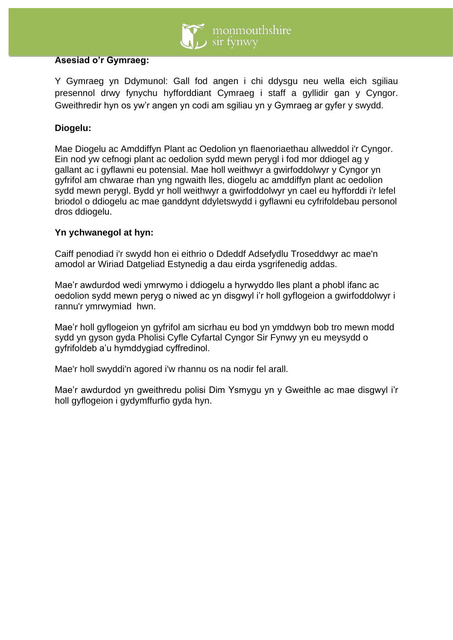

#### **Asesiad o'r Gymraeg:**

Y Gymraeg yn Ddymunol: Gall fod angen i chi ddysgu neu wella eich sgiliau presennol drwy fynychu hyfforddiant Cymraeg i staff a gyllidir gan y Cyngor. Gweithredir hyn os yw'r angen yn codi am sgiliau yn y Gymraeg ar gyfer y swydd.

## **Diogelu:**

Mae Diogelu ac Amddiffyn Plant ac Oedolion yn flaenoriaethau allweddol i'r Cyngor. Ein nod yw cefnogi plant ac oedolion sydd mewn perygl i fod mor ddiogel ag y gallant ac i gyflawni eu potensial. Mae holl weithwyr a gwirfoddolwyr y Cyngor yn gyfrifol am chwarae rhan yng ngwaith lles, diogelu ac amddiffyn plant ac oedolion sydd mewn perygl. Bydd yr holl weithwyr a gwirfoddolwyr yn cael eu hyfforddi i'r lefel briodol o ddiogelu ac mae ganddynt ddyletswydd i gyflawni eu cyfrifoldebau personol dros ddiogelu.

## **Yn ychwanegol at hyn:**

Caiff penodiad i'r swydd hon ei eithrio o Ddeddf Adsefydlu Troseddwyr ac mae'n amodol ar Wiriad Datgeliad Estynedig a dau eirda ysgrifenedig addas.

Mae'r awdurdod wedi ymrwymo i ddiogelu a hyrwyddo lles plant a phobl ifanc ac oedolion sydd mewn peryg o niwed ac yn disgwyl i'r holl gyflogeion a gwirfoddolwyr i rannu'r ymrwymiad hwn.

Mae'r holl gyflogeion yn gyfrifol am sicrhau eu bod yn ymddwyn bob tro mewn modd sydd yn gyson gyda Pholisi Cyfle Cyfartal Cyngor Sir Fynwy yn eu meysydd o gyfrifoldeb a'u hymddygiad cyffredinol.

Mae'r holl swyddi'n agored i'w rhannu os na nodir fel arall.

Mae'r awdurdod yn gweithredu polisi Dim Ysmygu yn y Gweithle ac mae disgwyl i'r holl gyflogeion i gydymffurfio gyda hyn.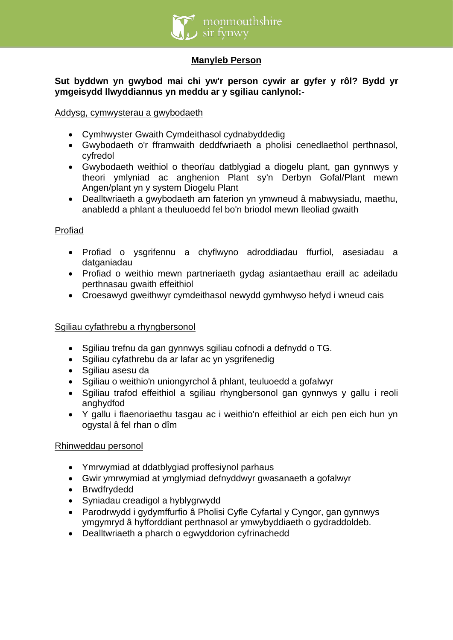

## **Manyleb Person**

## **Sut byddwn yn gwybod mai chi yw'r person cywir ar gyfer y rôl? Bydd yr ymgeisydd llwyddiannus yn meddu ar y sgiliau canlynol:-**

#### Addysg, cymwysterau a gwybodaeth

- Cymhwyster Gwaith Cymdeithasol cydnabyddedig
- Gwybodaeth o'r fframwaith deddfwriaeth a pholisi cenedlaethol perthnasol, cyfredol
- Gwybodaeth weithiol o theorïau datblygiad a diogelu plant, gan gynnwys y theori ymlyniad ac anghenion Plant sy'n Derbyn Gofal/Plant mewn Angen/plant yn y system Diogelu Plant
- Dealltwriaeth a gwybodaeth am faterion yn ymwneud â mabwysiadu, maethu, anabledd a phlant a theuluoedd fel bo'n briodol mewn lleoliad gwaith

#### Profiad

- Profiad o ysgrifennu a chyflwyno adroddiadau ffurfiol, asesiadau a datganiadau
- Profiad o weithio mewn partneriaeth gydag asiantaethau eraill ac adeiladu perthnasau gwaith effeithiol
- Croesawyd gweithwyr cymdeithasol newydd gymhwyso hefyd i wneud cais

## Sgiliau cyfathrebu a rhyngbersonol

- Sgiliau trefnu da gan gynnwys sgiliau cofnodi a defnydd o TG.
- Sgiliau cyfathrebu da ar lafar ac yn ysgrifenedig
- Sgiliau asesu da
- Sgiliau o weithio'n uniongyrchol â phlant, teuluoedd a gofalwyr
- Sgiliau trafod effeithiol a sgiliau rhyngbersonol gan gynnwys y gallu i reoli anghydfod
- Y gallu i flaenoriaethu tasgau ac i weithio'n effeithiol ar eich pen eich hun yn ogystal â fel rhan o dîm

#### Rhinweddau personol

- Ymrwymiad at ddatblygiad proffesiynol parhaus
- Gwir ymrwymiad at ymglymiad defnyddwyr gwasanaeth a gofalwyr
- Brwdfrydedd
- Syniadau creadigol a hyblygrwydd
- Parodrwydd i gydymffurfio â Pholisi Cyfle Cyfartal y Cyngor, gan gynnwys ymgymryd â hyfforddiant perthnasol ar ymwybyddiaeth o gydraddoldeb.
- Dealltwriaeth a pharch o egwyddorion cyfrinachedd